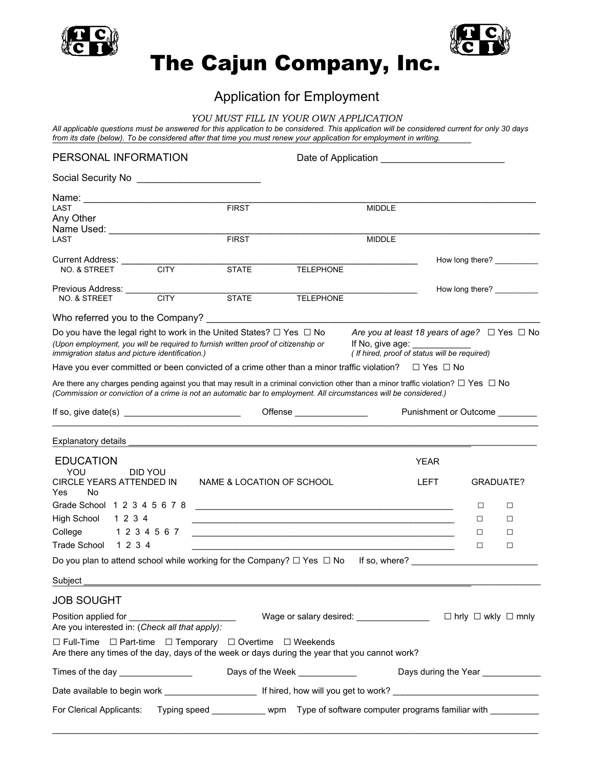



# The Cajun Company, Inc.

# Application for Employment

#### *YOU MUST FILL IN YOUR OWN APPLICATION*

*All applicable questions must be answered for this application to be considered. This application will be considered current for only 30 days from its date (below). To be considered after that time you must renew your application for employment in writing.*

| PERSONAL INFORMATION                                                                                                                                                                                                                                                                                                                            |               |                                                                                                                      |                                                  |                                                                                                                            |             |                                   |                                     |
|-------------------------------------------------------------------------------------------------------------------------------------------------------------------------------------------------------------------------------------------------------------------------------------------------------------------------------------------------|---------------|----------------------------------------------------------------------------------------------------------------------|--------------------------------------------------|----------------------------------------------------------------------------------------------------------------------------|-------------|-----------------------------------|-------------------------------------|
|                                                                                                                                                                                                                                                                                                                                                 |               |                                                                                                                      |                                                  |                                                                                                                            |             |                                   |                                     |
|                                                                                                                                                                                                                                                                                                                                                 |               |                                                                                                                      |                                                  |                                                                                                                            |             |                                   |                                     |
| LAST<br>Any Other<br>Name Used: ______________________                                                                                                                                                                                                                                                                                          |               | <b>FIRST</b>                                                                                                         |                                                  | <b>MIDDLE</b>                                                                                                              |             |                                   |                                     |
| LAST                                                                                                                                                                                                                                                                                                                                            |               | <b>FIRST</b>                                                                                                         |                                                  | <b>MIDDLE</b>                                                                                                              |             |                                   |                                     |
| Current Address: Current<br><b>NO. &amp; STREET</b>                                                                                                                                                                                                                                                                                             | <b>CITY</b>   | <b>STATE</b>                                                                                                         | <b>TELEPHONE</b>                                 |                                                                                                                            |             |                                   | How long there? ___________         |
| Previous Address: _____<br>NO. & STREET                                                                                                                                                                                                                                                                                                         | <b>CITY</b>   | <b>STATE</b>                                                                                                         | <b>TELEPHONE</b>                                 |                                                                                                                            |             |                                   |                                     |
| Who referred you to the Company?                                                                                                                                                                                                                                                                                                                |               |                                                                                                                      |                                                  |                                                                                                                            |             |                                   |                                     |
| Do you have the legal right to work in the United States? $\Box$ Yes $\Box$ No<br>(Upon employment, you will be required to furnish written proof of citizenship or<br>immigration status and picture identification.)<br>Have you ever committed or been convicted of a crime other than a minor traffic violation? $\square$ Yes $\square$ No |               |                                                                                                                      |                                                  | Are you at least 18 years of age? $\Box$ Yes $\Box$ No<br>If No, give age:<br>(If hired, proof of status will be required) |             |                                   |                                     |
| Are there any charges pending against you that may result in a criminal conviction other than a minor traffic violation? $\Box$ $\sf Yes$ $\;\Box$ $\sf No$<br>(Commission or conviction of a crime is not an automatic bar to employment. All circumstances will be considered.)                                                               |               |                                                                                                                      |                                                  |                                                                                                                            |             |                                   |                                     |
|                                                                                                                                                                                                                                                                                                                                                 |               |                                                                                                                      | Punishment or Outcome<br>Offense _______________ |                                                                                                                            |             |                                   |                                     |
| Explanatory details                                                                                                                                                                                                                                                                                                                             |               |                                                                                                                      |                                                  |                                                                                                                            |             |                                   |                                     |
| <b>EDUCATION</b>                                                                                                                                                                                                                                                                                                                                |               |                                                                                                                      |                                                  |                                                                                                                            | <b>YEAR</b> |                                   |                                     |
| YOU<br>CIRCLE YEARS ATTENDED IN<br>Yes<br>No.                                                                                                                                                                                                                                                                                                   | DID YOU       | NAME & LOCATION OF SCHOOL                                                                                            |                                                  |                                                                                                                            | LEFT        |                                   | GRADUATE?                           |
| Grade School 1 2 3 4 5 6 7 8                                                                                                                                                                                                                                                                                                                    |               | <u> 1989 - Johann Barbara, marka masjid aka kara masjid aka kara masjid aka kara masjid aka kara masjid aka kara</u> |                                                  |                                                                                                                            |             | □                                 | □                                   |
| High School<br>1234<br><u> 1989 - Johann Barbara, markazar margolaria (h. 1989).</u>                                                                                                                                                                                                                                                            |               |                                                                                                                      |                                                  |                                                                                                                            | П           | □                                 |                                     |
| College                                                                                                                                                                                                                                                                                                                                         | 1 2 3 4 5 6 7 |                                                                                                                      |                                                  |                                                                                                                            |             | □                                 | □                                   |
| Trade School<br>1234                                                                                                                                                                                                                                                                                                                            |               |                                                                                                                      |                                                  |                                                                                                                            |             | □                                 | □                                   |
| Do you plan to attend school while working for the Company? $\Box$ Yes $\ \Box$ No                                                                                                                                                                                                                                                              |               |                                                                                                                      |                                                  | If so, where? $\frac{1}{2}$                                                                                                |             |                                   |                                     |
| Subject                                                                                                                                                                                                                                                                                                                                         |               |                                                                                                                      |                                                  |                                                                                                                            |             |                                   |                                     |
| <b>JOB SOUGHT</b>                                                                                                                                                                                                                                                                                                                               |               |                                                                                                                      |                                                  |                                                                                                                            |             |                                   |                                     |
| Position applied for ____________<br>Are you interested in: (Check all that apply):                                                                                                                                                                                                                                                             |               |                                                                                                                      |                                                  | Wage or salary desired: ________________                                                                                   |             |                                   | $\Box$ hrly $\Box$ wkly $\Box$ mnly |
| $\Box$ Full-Time $\Box$ Part-time $\Box$ Temporary $\Box$ Overtime $\Box$ Weekends<br>Are there any times of the day, days of the week or days during the year that you cannot work?                                                                                                                                                            |               |                                                                                                                      |                                                  |                                                                                                                            |             |                                   |                                     |
| Times of the day ________________                                                                                                                                                                                                                                                                                                               |               | Days of the Week ____________                                                                                        |                                                  |                                                                                                                            |             | Days during the Year ____________ |                                     |
|                                                                                                                                                                                                                                                                                                                                                 |               |                                                                                                                      |                                                  |                                                                                                                            |             |                                   |                                     |
| For Clerical Applicants: Typing speed _ _ _ _ _ _ wpm Type of software computer programs familiar with _ _ _ _ _ _                                                                                                                                                                                                                              |               |                                                                                                                      |                                                  |                                                                                                                            |             |                                   |                                     |

 $\mathcal{L}_\mathcal{L} = \{ \mathcal{L}_\mathcal{L} = \{ \mathcal{L}_\mathcal{L} = \{ \mathcal{L}_\mathcal{L} = \{ \mathcal{L}_\mathcal{L} = \{ \mathcal{L}_\mathcal{L} = \{ \mathcal{L}_\mathcal{L} = \{ \mathcal{L}_\mathcal{L} = \{ \mathcal{L}_\mathcal{L} = \{ \mathcal{L}_\mathcal{L} = \{ \mathcal{L}_\mathcal{L} = \{ \mathcal{L}_\mathcal{L} = \{ \mathcal{L}_\mathcal{L} = \{ \mathcal{L}_\mathcal{L} = \{ \mathcal{L}_\mathcal{$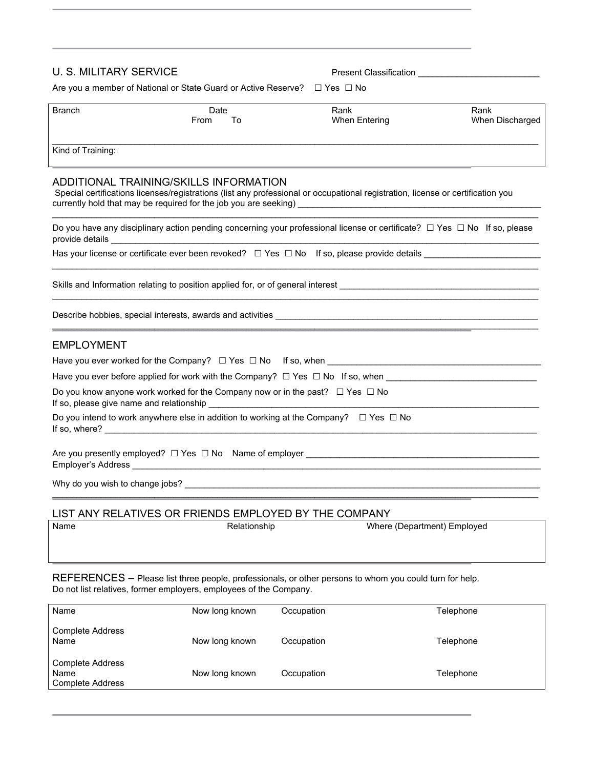# U. S. MILITARY SERVICE **Present Classification**

Are you a member of National or State Guard or Active Reserve? □ Yes □ No

| Branch | Date       | Rank          | Rank            |
|--------|------------|---------------|-----------------|
|        | From<br>١o | When Entering | When Discharged |
|        |            |               |                 |

Kind of Training:

#### ADDITIONAL TRAINING/SKILLS INFORMATION

Special certifications licenses/registrations (list any professional or occupational registration, license or certification you currently hold that may be required for the job you are seeking) \_\_\_\_\_\_\_\_\_\_\_\_\_\_\_

| Do you have any disciplinary action pending concerning your professional license or certificate? $\Box$ Yes $\Box$ No If so, please |  |
|-------------------------------------------------------------------------------------------------------------------------------------|--|
| provide details                                                                                                                     |  |

\_\_\_\_\_\_\_\_\_\_\_\_\_\_\_\_\_\_\_\_\_\_\_\_\_\_\_\_\_\_\_\_\_\_\_\_\_\_\_\_\_\_\_\_\_\_\_\_\_\_\_\_\_\_\_\_\_\_\_\_\_\_\_\_\_\_\_\_\_\_\_\_\_\_\_\_\_\_\_\_\_\_\_\_\_\_\_\_\_\_\_\_\_\_\_\_\_\_\_\_

 $\mathcal{L}_\mathcal{L} = \{ \mathcal{L}_\mathcal{L} = \{ \mathcal{L}_\mathcal{L} = \{ \mathcal{L}_\mathcal{L} = \{ \mathcal{L}_\mathcal{L} = \{ \mathcal{L}_\mathcal{L} = \{ \mathcal{L}_\mathcal{L} = \{ \mathcal{L}_\mathcal{L} = \{ \mathcal{L}_\mathcal{L} = \{ \mathcal{L}_\mathcal{L} = \{ \mathcal{L}_\mathcal{L} = \{ \mathcal{L}_\mathcal{L} = \{ \mathcal{L}_\mathcal{L} = \{ \mathcal{L}_\mathcal{L} = \{ \mathcal{L}_\mathcal{$ 

 $\mathcal{L}_\mathcal{L} = \{ \mathcal{L}_\mathcal{L} = \{ \mathcal{L}_\mathcal{L} = \{ \mathcal{L}_\mathcal{L} = \{ \mathcal{L}_\mathcal{L} = \{ \mathcal{L}_\mathcal{L} = \{ \mathcal{L}_\mathcal{L} = \{ \mathcal{L}_\mathcal{L} = \{ \mathcal{L}_\mathcal{L} = \{ \mathcal{L}_\mathcal{L} = \{ \mathcal{L}_\mathcal{L} = \{ \mathcal{L}_\mathcal{L} = \{ \mathcal{L}_\mathcal{L} = \{ \mathcal{L}_\mathcal{L} = \{ \mathcal{L}_\mathcal{$ 

 $\mathcal{L}_\mathcal{L} = \{ \mathcal{L}_\mathcal{L} = \{ \mathcal{L}_\mathcal{L} = \{ \mathcal{L}_\mathcal{L} = \{ \mathcal{L}_\mathcal{L} = \{ \mathcal{L}_\mathcal{L} = \{ \mathcal{L}_\mathcal{L} = \{ \mathcal{L}_\mathcal{L} = \{ \mathcal{L}_\mathcal{L} = \{ \mathcal{L}_\mathcal{L} = \{ \mathcal{L}_\mathcal{L} = \{ \mathcal{L}_\mathcal{L} = \{ \mathcal{L}_\mathcal{L} = \{ \mathcal{L}_\mathcal{L} = \{ \mathcal{L}_\mathcal{$ 

Has your license or certificate ever been revoked?  $□$  Yes  $□$  No If so, please provide details \_\_\_\_\_\_\_\_\_\_\_\_\_\_\_\_\_\_\_\_\_

Skills and Information relating to position applied for, or of general interest

Describe hobbies, special interests, awards and activities \_\_\_\_\_\_\_\_\_\_\_\_\_\_\_\_\_\_\_\_\_\_\_\_\_\_\_\_\_\_\_\_\_\_\_\_\_\_\_\_\_\_\_\_\_\_\_\_\_\_\_\_\_\_

## EMPLOYMENT

| Have you ever worked for the Company? $\Box$ Yes $\Box$ No If so, when                                |  |  |  |  |
|-------------------------------------------------------------------------------------------------------|--|--|--|--|
| Have you ever before applied for work with the Company? $\Box$ Yes $\Box$ No If so, when              |  |  |  |  |
| Do you know anyone work worked for the Company now or in the past? $\Box$ Yes $\Box$ No               |  |  |  |  |
| Do you intend to work anywhere else in addition to working at the Company? $\square$ Yes $\square$ No |  |  |  |  |
| Are you presently employed? $\Box$ Yes $\Box$ No Name of employer<br>Employer's Address               |  |  |  |  |

Why do you wish to change jobs? \_\_\_\_\_\_\_\_\_\_\_\_\_\_\_\_\_\_\_\_\_\_\_\_\_\_\_\_\_\_\_\_\_\_\_\_\_\_\_\_\_\_\_\_\_\_\_\_\_\_\_\_\_\_\_\_\_\_\_\_\_\_\_\_\_\_\_\_\_\_\_\_\_

### LIST ANY RELATIVES OR FRIENDS EMPLOYED BY THE COMPANY

| Name | Relationship | Where (Department) Employed |  |  |
|------|--------------|-----------------------------|--|--|
|      |              |                             |  |  |
|      |              |                             |  |  |

 $\mathcal{L}_\mathcal{L} = \{ \mathcal{L}_\mathcal{L} = \{ \mathcal{L}_\mathcal{L} = \{ \mathcal{L}_\mathcal{L} = \{ \mathcal{L}_\mathcal{L} = \{ \mathcal{L}_\mathcal{L} = \{ \mathcal{L}_\mathcal{L} = \{ \mathcal{L}_\mathcal{L} = \{ \mathcal{L}_\mathcal{L} = \{ \mathcal{L}_\mathcal{L} = \{ \mathcal{L}_\mathcal{L} = \{ \mathcal{L}_\mathcal{L} = \{ \mathcal{L}_\mathcal{L} = \{ \mathcal{L}_\mathcal{L} = \{ \mathcal{L}_\mathcal{$ 

REFERENCES – Please list three people, professionals, or other persons to whom you could turn for help. Do not list relatives, former employers, employees of the Company.

| Name                                                       | Now long known | Occupation | Telephone |
|------------------------------------------------------------|----------------|------------|-----------|
| <b>Complete Address</b><br>Name                            | Now long known | Occupation | Telephone |
| <b>Complete Address</b><br>Name<br><b>Complete Address</b> | Now long known | Occupation | Telephone |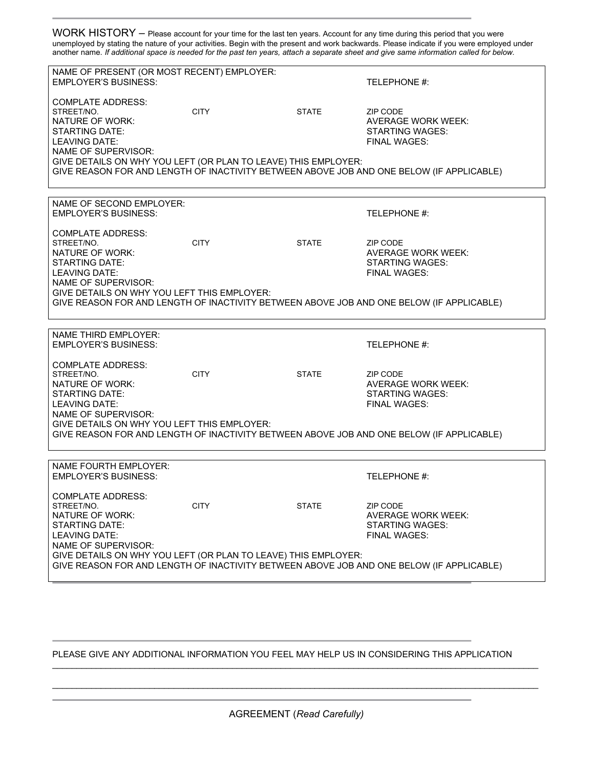WORK HISTORY – Please account for your time for the last ten years. Account for any time during this period that you were unemployed by stating the nature of your activities. Begin with the present and work backwards. Please indicate if you were employed under another name. *If additional space is needed for the past ten years, attach a separate sheet and give same information called for below.*

| NAME OF PRESENT (OR MOST RECENT) EMPLOYER:<br><b>EMPLOYER'S BUSINESS:</b><br><b>COMPLATE ADDRESS:</b><br>STREET/NO.                                            | <b>CITY</b> | <b>STATE</b> | TELEPHONE #:<br>ZIP CODE                                                                      |  |
|----------------------------------------------------------------------------------------------------------------------------------------------------------------|-------------|--------------|-----------------------------------------------------------------------------------------------|--|
| NATURE OF WORK:<br><b>STARTING DATE:</b><br><b>LEAVING DATE:</b><br>NAME OF SUPERVISOR:<br>GIVE DETAILS ON WHY YOU LEFT (OR PLAN TO LEAVE) THIS EMPLOYER:      |             |              | <b>AVERAGE WORK WEEK:</b><br><b>STARTING WAGES:</b><br>FINAL WAGES:                           |  |
|                                                                                                                                                                |             |              | GIVE REASON FOR AND LENGTH OF INACTIVITY BETWEEN ABOVE JOB AND ONE BELOW (IF APPLICABLE)      |  |
| NAME OF SECOND EMPLOYER:<br><b>EMPLOYER'S BUSINESS:</b>                                                                                                        |             |              | TELEPHONE #:                                                                                  |  |
| <b>COMPLATE ADDRESS:</b><br>STREET/NO.<br>NATURE OF WORK:<br><b>STARTING DATE:</b><br><b>LEAVING DATE:</b>                                                     | <b>CITY</b> | <b>STATE</b> | ZIP CODE<br><b>AVERAGE WORK WEEK:</b><br>STARTING WAGES:<br><b>FINAL WAGES:</b>               |  |
| NAME OF SUPERVISOR:<br>GIVE DETAILS ON WHY YOU LEFT THIS EMPLOYER:<br>GIVE REASON FOR AND LENGTH OF INACTIVITY BETWEEN ABOVE JOB AND ONE BELOW (IF APPLICABLE) |             |              |                                                                                               |  |
| <b>NAME THIRD EMPLOYER:</b><br><b>EMPLOYER'S BUSINESS:</b>                                                                                                     |             |              | TELEPHONE #:                                                                                  |  |
| <b>COMPLATE ADDRESS:</b><br>STREET/NO.<br>NATURE OF WORK:<br><b>STARTING DATE:</b><br><b>LEAVING DATE:</b><br>NAME OF SUPERVISOR:                              | <b>CITY</b> | <b>STATE</b> | ZIP CODE<br><b>AVERAGE WORK WEEK:</b><br><b>STARTING WAGES:</b><br><b>FINAL WAGES:</b>        |  |
| GIVE DETAILS ON WHY YOU LEFT THIS EMPLOYER:<br>GIVE REASON FOR AND LENGTH OF INACTIVITY BETWEEN ABOVE JOB AND ONE BELOW (IF APPLICABLE)                        |             |              |                                                                                               |  |
| <b>NAME FOURTH EMPLOYER:</b><br><b>EMPLOYER'S BUSINESS:</b>                                                                                                    |             |              | TELEPHONE #:                                                                                  |  |
| <b>COMPLATE ADDRESS:</b><br>STREET/NO.<br>NATURE OF WORK:<br><b>STARTING DATE:</b><br>LEAVING DATE:<br>NAME OF SUPERVISOR:                                     | <b>CITY</b> | <b>STATE</b> | <b>ZIP CODE</b><br><b>AVERAGE WORK WEEK:</b><br><b>STARTING WAGES:</b><br><b>FINAL WAGES:</b> |  |
| GIVE DETAILS ON WHY YOU LEFT (OR PLAN TO LEAVE) THIS EMPLOYER:<br>GIVE REASON FOR AND LENGTH OF INACTIVITY BETWEEN ABOVE JOB AND ONE BELOW (IF APPLICABLE)     |             |              |                                                                                               |  |

PLEASE GIVE ANY ADDITIONAL INFORMATION YOU FEEL MAY HELP US IN CONSIDERING THIS APPLICATION

AGREEMENT (*Read Carefully)*

 $\mathcal{L}_\mathcal{L} = \{ \mathcal{L}_\mathcal{L} = \{ \mathcal{L}_\mathcal{L} = \{ \mathcal{L}_\mathcal{L} = \{ \mathcal{L}_\mathcal{L} = \{ \mathcal{L}_\mathcal{L} = \{ \mathcal{L}_\mathcal{L} = \{ \mathcal{L}_\mathcal{L} = \{ \mathcal{L}_\mathcal{L} = \{ \mathcal{L}_\mathcal{L} = \{ \mathcal{L}_\mathcal{L} = \{ \mathcal{L}_\mathcal{L} = \{ \mathcal{L}_\mathcal{L} = \{ \mathcal{L}_\mathcal{L} = \{ \mathcal{L}_\mathcal{$ 

 $\mathcal{L}_\mathcal{L} = \{ \mathcal{L}_\mathcal{L} = \{ \mathcal{L}_\mathcal{L} = \{ \mathcal{L}_\mathcal{L} = \{ \mathcal{L}_\mathcal{L} = \{ \mathcal{L}_\mathcal{L} = \{ \mathcal{L}_\mathcal{L} = \{ \mathcal{L}_\mathcal{L} = \{ \mathcal{L}_\mathcal{L} = \{ \mathcal{L}_\mathcal{L} = \{ \mathcal{L}_\mathcal{L} = \{ \mathcal{L}_\mathcal{L} = \{ \mathcal{L}_\mathcal{L} = \{ \mathcal{L}_\mathcal{L} = \{ \mathcal{L}_\mathcal{$